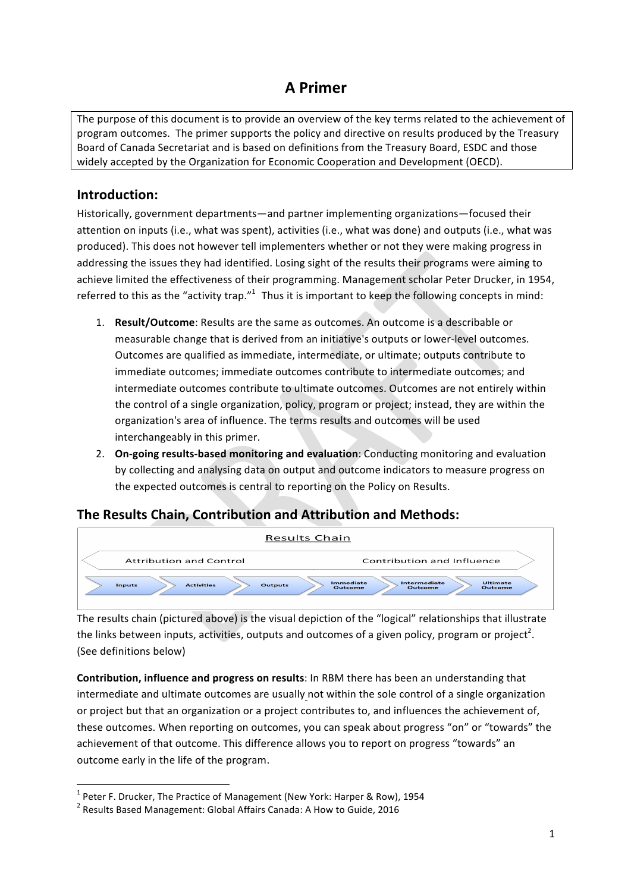# **A Primer**

The purpose of this document is to provide an overview of the key terms related to the achievement of program outcomes. The primer supports the policy and directive on results produced by the Treasury Board of Canada Secretariat and is based on definitions from the Treasury Board, ESDC and those widely accepted by the Organization for Economic Cooperation and Development (OECD).

#### **Introduction:**

Historically, government departments—and partner implementing organizations—focused their attention on inputs (i.e., what was spent), activities (i.e., what was done) and outputs (i.e., what was produced). This does not however tell implementers whether or not they were making progress in addressing the issues they had identified. Losing sight of the results their programs were aiming to achieve limited the effectiveness of their programming. Management scholar Peter Drucker, in 1954, referred to this as the "activity trap."<sup>1</sup> Thus it is important to keep the following concepts in mind:

- 1. **Result/Outcome**: Results are the same as outcomes. An outcome is a describable or measurable change that is derived from an initiative's outputs or lower-level outcomes. Outcomes are qualified as immediate, intermediate, or ultimate; outputs contribute to immediate outcomes; immediate outcomes contribute to intermediate outcomes; and intermediate outcomes contribute to ultimate outcomes. Outcomes are not entirely within the control of a single organization, policy, program or project; instead, they are within the organization's area of influence. The terms results and outcomes will be used interchangeably in this primer.
- 2. **On-going results-based monitoring and evaluation**: Conducting monitoring and evaluation by collecting and analysing data on output and outcome indicators to measure progress on the expected outcomes is central to reporting on the Policy on Results.

### **The Results Chain, Contribution and Attribution and Methods:**



The results chain (pictured above) is the visual depiction of the "logical" relationships that illustrate the links between inputs, activities, outputs and outcomes of a given policy, program or project<sup>2</sup>. (See definitions below)

**Contribution, influence and progress on results:** In RBM there has been an understanding that intermediate and ultimate outcomes are usually not within the sole control of a single organization or project but that an organization or a project contributes to, and influences the achievement of, these outcomes. When reporting on outcomes, you can speak about progress "on" or "towards" the achievement of that outcome. This difference allows you to report on progress "towards" an outcome early in the life of the program.

<u> 1989 - Jan Samuel Barbara, margaret e</u>

 $1$  Peter F. Drucker, The Practice of Management (New York: Harper & Row), 1954

 $2$  Results Based Management: Global Affairs Canada: A How to Guide, 2016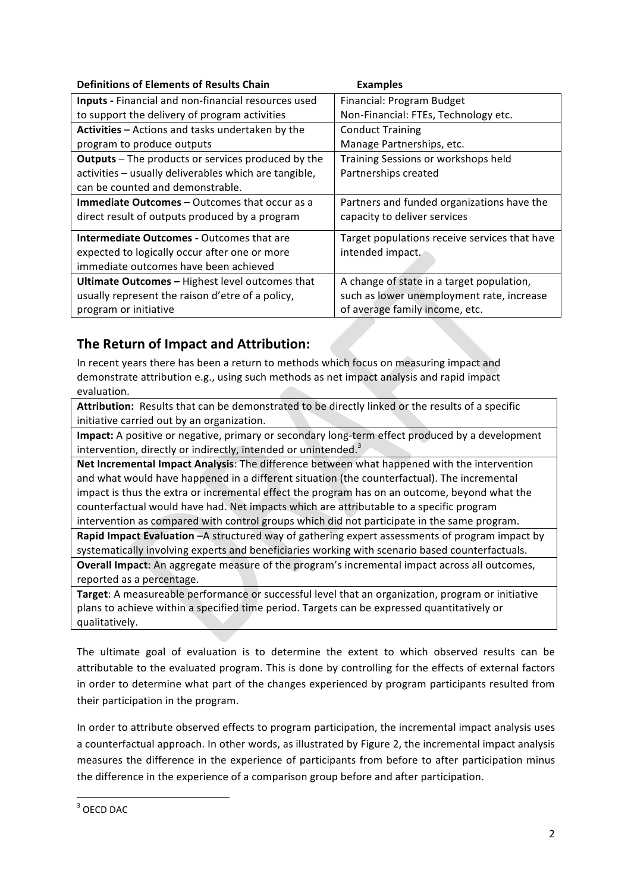| <b>Examples</b>                               |
|-----------------------------------------------|
| Financial: Program Budget                     |
| Non-Financial: FTEs, Technology etc.          |
| <b>Conduct Training</b>                       |
| Manage Partnerships, etc.                     |
| Training Sessions or workshops held           |
| Partnerships created                          |
|                                               |
| Partners and funded organizations have the    |
| capacity to deliver services                  |
| Target populations receive services that have |
| intended impact.                              |
|                                               |
| A change of state in a target population,     |
| such as lower unemployment rate, increase     |
| of average family income, etc.                |
|                                               |

## **The Return of Impact and Attribution:**

In recent years there has been a return to methods which focus on measuring impact and demonstrate attribution e.g., using such methods as net impact analysis and rapid impact evaluation. 

Attribution: Results that can be demonstrated to be directly linked or the results of a specific initiative carried out by an organization.

**Impact:** A positive or negative, primary or secondary long-term effect produced by a development intervention, directly or indirectly, intended or unintended.<sup>3</sup>

**Net Incremental Impact Analysis:** The difference between what happened with the intervention and what would have happened in a different situation (the counterfactual). The incremental impact is thus the extra or incremental effect the program has on an outcome, beyond what the counterfactual would have had. Net impacts which are attributable to a specific program intervention as compared with control groups which did not participate in the same program.

**Rapid Impact Evaluation -**A structured way of gathering expert assessments of program impact by systematically involving experts and beneficiaries working with scenario based counterfactuals. **Overall Impact:** An aggregate measure of the program's incremental impact across all outcomes, reported as a percentage.

**Target:** A measureable performance or successful level that an organization, program or initiative plans to achieve within a specified time period. Targets can be expressed quantitatively or qualitatively. 

The ultimate goal of evaluation is to determine the extent to which observed results can be attributable to the evaluated program. This is done by controlling for the effects of external factors in order to determine what part of the changes experienced by program participants resulted from their participation in the program.

In order to attribute observed effects to program participation, the incremental impact analysis uses a counterfactual approach. In other words, as illustrated by Figure 2, the incremental impact analysis measures the difference in the experience of participants from before to after participation minus the difference in the experience of a comparison group before and after participation.

  $3$  OECD DAC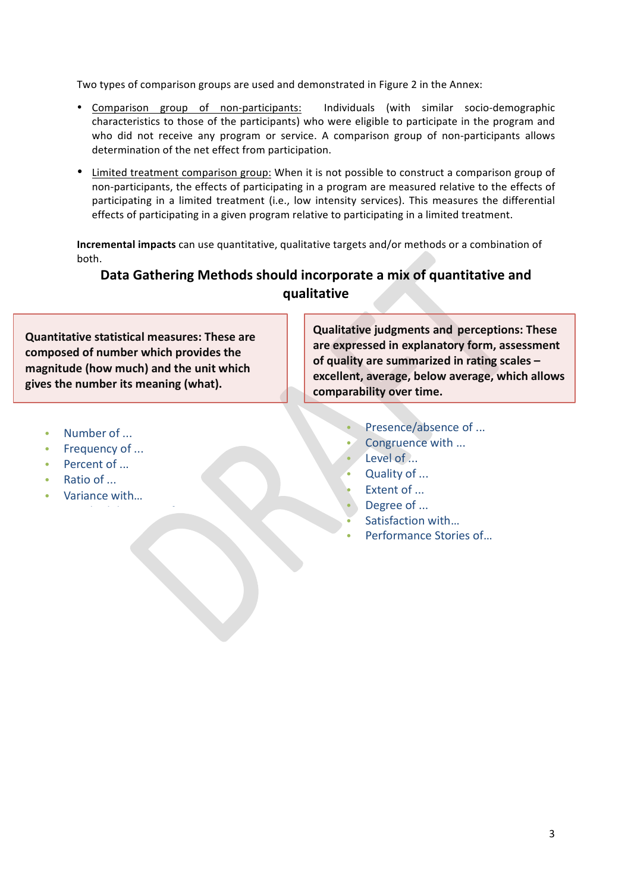Two types of comparison groups are used and demonstrated in Figure 2 in the Annex:

- Comparison group of non-participants: Individuals (with similar socio-demographic characteristics to those of the participants) who were eligible to participate in the program and who did not receive any program or service. A comparison group of non-participants allows determination of the net effect from participation.
- Limited treatment comparison group: When it is not possible to construct a comparison group of non-participants, the effects of participating in a program are measured relative to the effects of participating in a limited treatment (i.e., low intensity services). This measures the differential effects of participating in a given program relative to participating in a limited treatment.

**Incremental impacts** can use quantitative, qualitative targets and/or methods or a combination of both.

### Data Gathering Methods should incorporate a mix of quantitative and **qualitative**

**Quantitative statistical measures: These are** composed of number which provides the magnitude (how much) and the unit which gives the number its meaning (what).

**Qualitative judgments and perceptions: These** are expressed in explanatory form, assessment of quality are summarized in rating scales excellent, average, below average, which allows comparability over time.

- Number of ...
- Frequency of ...
- Percent of ...
- Ratio of ...
- Variance with...

• Standard deviation of…

- Presence/absence of ...
- Congruence with ...
- Level of ...
- Quality of ...
- Extent of ...
- Degree of ...
- Satisfaction with...
- Performance Stories of...